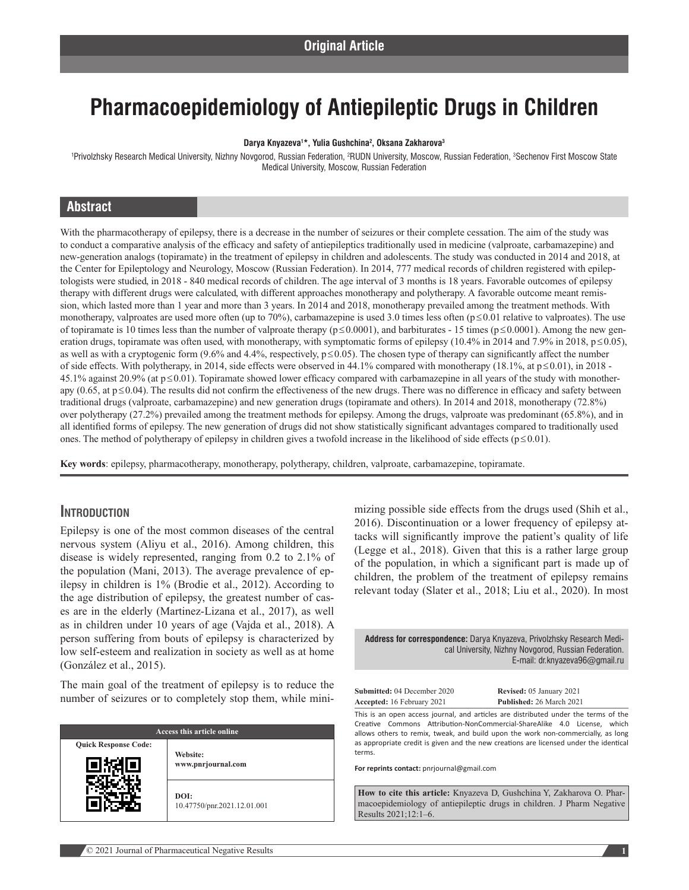# **Pharmacoepidemiology of Antiepileptic Drugs in Children**

#### **Darya Knyazeva1 \*, Yulia Gushchina2 , Oksana Zakharova3**

'Privolzhsky Research Medical University, Nizhny Novgorod, Russian Federation, ?RUDN University, Moscow, Russian Federation, 3Sechenov First Moscow State Medical University, Moscow, Russian Federation

# **Abstract**

With the pharmacotherapy of epilepsy, there is a decrease in the number of seizures or their complete cessation. The aim of the study was to conduct a comparative analysis of the efficacy and safety of antiepileptics traditionally used in medicine (valproate, carbamazepine) and new-generation analogs (topiramate) in the treatment of epilepsy in children and adolescents. The study was conducted in 2014 and 2018, at the Center for Epileptology and Neurology, Moscow (Russian Federation). In 2014, 777 medical records of children registered with epileptologists were studied, in 2018 - 840 medical records of children. The age interval of 3 months is 18 years. Favorable outcomes of epilepsy therapy with different drugs were calculated, with different approaches monotherapy and polytherapy. A favorable outcome meant remission, which lasted more than 1 year and more than 3 years. In 2014 and 2018, monotherapy prevailed among the treatment methods. With monotherapy, valproates are used more often (up to 70%), carbamazepine is used 3.0 times less often (p≤0.01 relative to valproates). The use of topiramate is 10 times less than the number of valproate therapy ( $p \le 0.0001$ ), and barbiturates - 15 times ( $p \le 0.0001$ ). Among the new generation drugs, topiramate was often used, with monotherapy, with symptomatic forms of epilepsy (10.4% in 2014 and 7.9% in 2018,  $p \le 0.05$ ), as well as with a cryptogenic form (9.6% and 4.4%, respectively,  $p \le 0.05$ ). The chosen type of therapy can significantly affect the number of side effects. With polytherapy, in 2014, side effects were observed in 44.1% compared with monotherapy (18.1%, at p≤0.01), in 2018 - 45.1% against 20.9% (at p≤0.01). Topiramate showed lower efficacy compared with carbamazepine in all years of the study with monotherapy (0.65, at p≤0.04). The results did not confirm the effectiveness of the new drugs. There was no difference in efficacy and safety between traditional drugs (valproate, carbamazepine) and new generation drugs (topiramate and others). In 2014 and 2018, monotherapy (72.8%) over polytherapy (27.2%) prevailed among the treatment methods for epilepsy. Among the drugs, valproate was predominant (65.8%), and in all identified forms of epilepsy. The new generation of drugs did not show statistically significant advantages compared to traditionally used ones. The method of polytherapy of epilepsy in children gives a twofold increase in the likelihood of side effects (p≤0.01).

**Key words**: epilepsy, pharmacotherapy, monotherapy, polytherapy, children, valproate, carbamazepine, topiramate.

#### **Introduction**

Epilepsy is one of the most common diseases of the central nervous system (Aliyu et al., 2016). Among children, this disease is widely represented, ranging from 0.2 to 2.1% of the population (Mani, 2013). The average prevalence of epilepsy in children is 1% (Brodie et al., 2012). According to the age distribution of epilepsy, the greatest number of cases are in the elderly (Martinez-Lizana et al., 2017), as well as in children under 10 years of age (Vajda et al., 2018). A person suffering from bouts of epilepsy is characterized by low self-esteem and realization in society as well as at home (González et al., 2015).

The main goal of the treatment of epilepsy is to reduce the number of seizures or to completely stop them, while mini-

| Access this article online  |                                     |  |
|-----------------------------|-------------------------------------|--|
| <b>Quick Response Code:</b> | Website:<br>www.pnrjournal.com      |  |
|                             | DOI:<br>10.47750/pnr.2021.12.01.001 |  |

mizing possible side effects from the drugs used (Shih et al., 2016). Discontinuation or a lower frequency of epilepsy attacks will significantly improve the patient's quality of life (Legge et al., 2018). Given that this is a rather large group of the population, in which a significant part is made up of children, the problem of the treatment of epilepsy remains relevant today (Slater et al., 2018; Liu et al., 2020). In most

**Address for correspondence:** Darya Knyazeva, Privolzhsky Research Medi‑ cal University, Nizhny Novgorod, Russian Federation. E‑mail: dr.knyazeva96@gmail.ru

| Submitted: 04 December 2020       |  |
|-----------------------------------|--|
| <b>Accented:</b> 16 February 2021 |  |

**Revised:** 05 January 2021 **Published:** 26 March 2021

This is an open access journal, and articles are distributed under the terms of the Creative Commons Attribution‑NonCommercial‑ShareAlike 4.0 License, which allows others to remix, tweak, and build upon the work non‑commercially, as long as appropriate credit is given and the new creations are licensed under the identical terms.

**For reprints contact:** pnrjournal@gmail.com

**How to cite this article:** Knyazeva D, Gushchina Y, Zakharova O. Pharmacoepidemiology of antiepileptic drugs in children. J Pharm Negative Results 2021;12:1–6.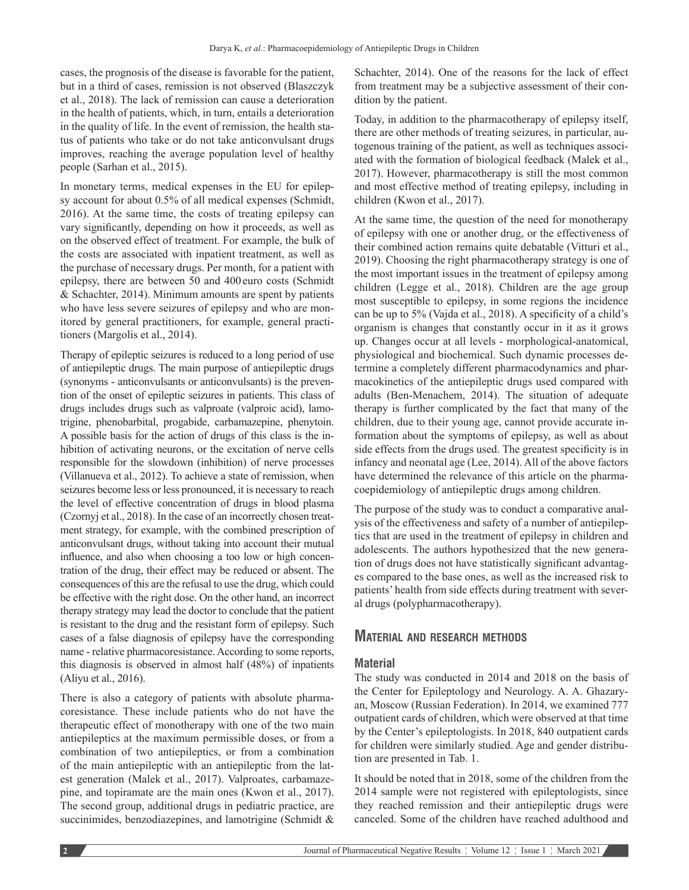cases, the prognosis of the disease is favorable for the patient, but in a third of cases, remission is not observed (Blaszczyk et al., 2018). The lack of remission can cause a deterioration in the health of patients, which, in turn, entails a deterioration in the quality of life. In the event of remission, the health status of patients who take or do not take anticonvulsant drugs improves, reaching the average population level of healthy people (Sarhan et al., 2015).

In monetary terms, medical expenses in the EU for epilepsy account for about 0.5% of all medical expenses (Schmidt, 2016). At the same time, the costs of treating epilepsy can vary significantly, depending on how it proceeds, as well as on the observed effect of treatment. For example, the bulk of the costs are associated with inpatient treatment, as well as the purchase of necessary drugs. Per month, for a patient with epilepsy, there are between 50 and 400euro costs (Schmidt & Schachter, 2014). Minimum amounts are spent by patients who have less severe seizures of epilepsy and who are monitored by general practitioners, for example, general practitioners (Margolis et al., 2014).

Therapy of epileptic seizures is reduced to a long period of use of antiepileptic drugs. The main purpose of antiepileptic drugs (synonyms - anticonvulsants or anticonvulsants) is the prevention of the onset of epileptic seizures in patients. This class of drugs includes drugs such as valproate (valproic acid), lamotrigine, phenobarbital, progabide, carbamazepine, phenytoin. A possible basis for the action of drugs of this class is the inhibition of activating neurons, or the excitation of nerve cells responsible for the slowdown (inhibition) of nerve processes (Villanueva et al., 2012). To achieve a state of remission, when seizures become less or less pronounced, it is necessary to reach the level of effective concentration of drugs in blood plasma (Czornyj et al., 2018). In the case of an incorrectly chosen treatment strategy, for example, with the combined prescription of anticonvulsant drugs, without taking into account their mutual influence, and also when choosing a too low or high concentration of the drug, their effect may be reduced or absent. The consequences of this are the refusal to use the drug, which could be effective with the right dose. On the other hand, an incorrect therapy strategy may lead the doctor to conclude that the patient is resistant to the drug and the resistant form of epilepsy. Such cases of a false diagnosis of epilepsy have the corresponding name - relative pharmacoresistance. According to some reports, this diagnosis is observed in almost half (48%) of inpatients (Aliyu et al., 2016).

There is also a category of patients with absolute pharmacoresistance. These include patients who do not have the therapeutic effect of monotherapy with one of the two main antiepileptics at the maximum permissible doses, or from a combination of two antiepileptics, or from a combination of the main antiepileptic with an antiepileptic from the latest generation (Malek et al., 2017). Valproates, carbamazepine, and topiramate are the main ones (Kwon et al., 2017). The second group, additional drugs in pediatric practice, are succinimides, benzodiazepines, and lamotrigine (Schmidt & Schachter, 2014). One of the reasons for the lack of effect from treatment may be a subjective assessment of their condition by the patient.

Today, in addition to the pharmacotherapy of epilepsy itself, there are other methods of treating seizures, in particular, autogenous training of the patient, as well as techniques associated with the formation of biological feedback (Malek et al., 2017). However, pharmacotherapy is still the most common and most effective method of treating epilepsy, including in children (Kwon et al., 2017).

At the same time, the question of the need for monotherapy of epilepsy with one or another drug, or the effectiveness of their combined action remains quite debatable (Vitturi et al., 2019). Choosing the right pharmacotherapy strategy is one of the most important issues in the treatment of epilepsy among children (Legge et al., 2018). Children are the age group most susceptible to epilepsy, in some regions the incidence can be up to 5% (Vajda et al., 2018). A specificity of a child's organism is changes that constantly occur in it as it grows up. Changes occur at all levels - morphological-anatomical, physiological and biochemical. Such dynamic processes determine a completely different pharmacodynamics and pharmacokinetics of the antiepileptic drugs used compared with adults (Ben-Menachem, 2014). The situation of adequate therapy is further complicated by the fact that many of the children, due to their young age, cannot provide accurate information about the symptoms of epilepsy, as well as about side effects from the drugs used. The greatest specificity is in infancy and neonatal age (Lee, 2014). All of the above factors have determined the relevance of this article on the pharmacoepidemiology of antiepileptic drugs among children.

The purpose of the study was to conduct a comparative analysis of the effectiveness and safety of a number of antiepileptics that are used in the treatment of epilepsy in children and adolescents. The authors hypothesized that the new generation of drugs does not have statistically significant advantages compared to the base ones, as well as the increased risk to patients' health from side effects during treatment with several drugs (polypharmacotherapy).

#### **Material and research methods**

#### **Material**

The study was conducted in 2014 and 2018 on the basis of the Center for Epileptology and Neurology. A. A. Ghazaryan, Moscow (Russian Federation). In 2014, we examined 777 outpatient cards of children, which were observed at that time by the Center's epileptologists. In 2018, 840 outpatient cards for children were similarly studied. Age and gender distribution are presented in Tab. 1.

It should be noted that in 2018, some of the children from the 2014 sample were not registered with epileptologists, since they reached remission and their antiepileptic drugs were canceled. Some of the children have reached adulthood and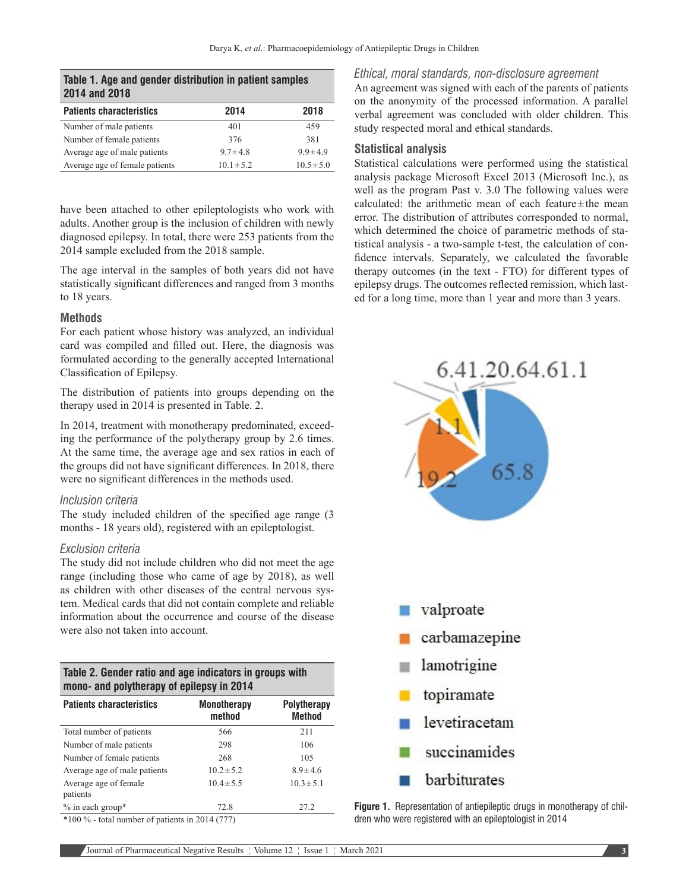| 2014 and 2018 |  |
|---------------|--|
|               |  |

| <b>Patients characteristics</b> | 2014           | 2018           |
|---------------------------------|----------------|----------------|
| Number of male patients         | 401            | 459            |
| Number of female patients       | 376            | 381            |
| Average age of male patients    | $9.7 \pm 4.8$  | $99 \pm 49$    |
| Average age of female patients  | $10.1 \pm 5.2$ | $10.5 \pm 5.0$ |

have been attached to other epileptologists who work with adults. Another group is the inclusion of children with newly diagnosed epilepsy. In total, there were 253 patients from the 2014 sample excluded from the 2018 sample.

The age interval in the samples of both years did not have statistically significant differences and ranged from 3 months to 18 years.

#### **Methods**

For each patient whose history was analyzed, an individual card was compiled and filled out. Here, the diagnosis was formulated according to the generally accepted International Classification of Epilepsy.

The distribution of patients into groups depending on the therapy used in 2014 is presented in Table. 2.

In 2014, treatment with monotherapy predominated, exceeding the performance of the polytherapy group by 2.6 times. At the same time, the average age and sex ratios in each of the groups did not have significant differences. In 2018, there were no significant differences in the methods used.

#### *Inclusion criteria*

The study included children of the specified age range (3 months - 18 years old), registered with an epileptologist.

#### *Exclusion criteria*

Average age of female

patients

The study did not include children who did not meet the age range (including those who came of age by 2018), as well as children with other diseases of the central nervous system. Medical cards that did not contain complete and reliable information about the occurrence and course of the disease were also not taken into account.

| Table 2. Gender ratio and age indicators in groups with<br>mono- and polytherapy of epilepsy in 2014 |                              |                                     |  |  |
|------------------------------------------------------------------------------------------------------|------------------------------|-------------------------------------|--|--|
| <b>Patients characteristics</b>                                                                      | <b>Monotherapy</b><br>method | <b>Polytherapy</b><br><b>Method</b> |  |  |
| Total number of patients                                                                             | 566                          | 211                                 |  |  |
| Number of male patients                                                                              | 298                          | 106                                 |  |  |
| Number of female patients                                                                            | 268                          | 105                                 |  |  |
| Average age of male patients                                                                         | $10.2 \pm 5.2$               | $8.9 + 4.6$                         |  |  |

% in each group\* 72.8 27.2  $*100 \%$  - total number of patients in 2014 (777)

#### *Ethical, moral standards, non-disclosure agreement*

An agreement was signed with each of the parents of patients on the anonymity of the processed information. A parallel verbal agreement was concluded with older children. This study respected moral and ethical standards.

#### **Statistical analysis**

Statistical calculations were performed using the statistical analysis package Microsoft Excel 2013 (Microsoft Inc.), as well as the program Past v. 3.0 The following values were calculated: the arithmetic mean of each feature±the mean error. The distribution of attributes corresponded to normal, which determined the choice of parametric methods of statistical analysis - a two-sample t-test, the calculation of confidence intervals. Separately, we calculated the favorable therapy outcomes (in the text - FTO) for different types of epilepsy drugs. The outcomes reflected remission, which lasted for a long time, more than 1 year and more than 3 years.





 $10.4 \pm 5.5$   $10.3 \pm 5.1$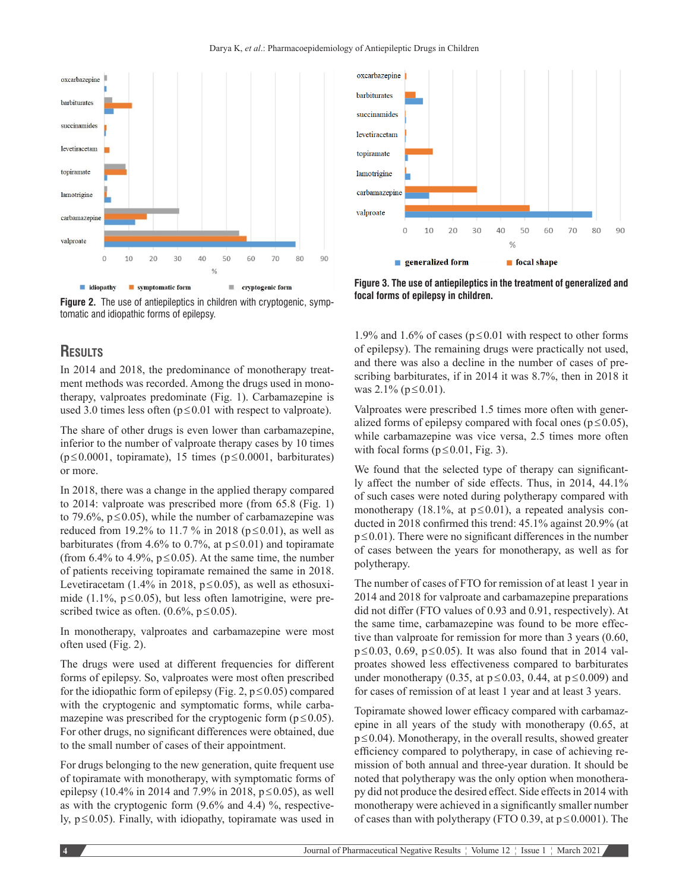



# **Results**

In 2014 and 2018, the predominance of monotherapy treatment methods was recorded. Among the drugs used in monotherapy, valproates predominate (Fig. 1). Carbamazepine is used 3.0 times less often  $(p \le 0.01$  with respect to valproate).

The share of other drugs is even lower than carbamazepine, inferior to the number of valproate therapy cases by 10 times (p≤0.0001, topiramate), 15 times (p≤0.0001, barbiturates) or more.

In 2018, there was a change in the applied therapy compared to 2014: valproate was prescribed more (from 65.8 (Fig. 1) to 79.6%,  $p \le 0.05$ ), while the number of carbamazepine was reduced from 19.2% to 11.7 % in 2018 ( $p ≤ 0.01$ ), as well as barbiturates (from 4.6% to 0.7%, at  $p \le 0.01$ ) and topiramate (from 6.4% to 4.9%,  $p \le 0.05$ ). At the same time, the number of patients receiving topiramate remained the same in 2018. Levetiracetam (1.4% in 2018,  $p \le 0.05$ ), as well as ethosuximide (1.1%,  $p \le 0.05$ ), but less often lamotrigine, were prescribed twice as often.  $(0.6\%, p \le 0.05)$ .

In monotherapy, valproates and carbamazepine were most often used (Fig. 2).

The drugs were used at different frequencies for different forms of epilepsy. So, valproates were most often prescribed for the idiopathic form of epilepsy (Fig. 2,  $p \le 0.05$ ) compared with the cryptogenic and symptomatic forms, while carbamazepine was prescribed for the cryptogenic form ( $p \le 0.05$ ). For other drugs, no significant differences were obtained, due to the small number of cases of their appointment.

For drugs belonging to the new generation, quite frequent use of topiramate with monotherapy, with symptomatic forms of epilepsy (10.4% in 2014 and 7.9% in 2018,  $p \le 0.05$ ), as well as with the cryptogenic form  $(9.6\%$  and 4.4) %, respectively,  $p \le 0.05$ ). Finally, with idiopathy, topiramate was used in



**Figure 3. The use of antiepileptics in the treatment of generalized and focal forms of epilepsy in children.**

1.9% and 1.6% of cases ( $p \le 0.01$  with respect to other forms of epilepsy). The remaining drugs were practically not used, and there was also a decline in the number of cases of prescribing barbiturates, if in 2014 it was 8.7%, then in 2018 it was 2.1% (p≤0.01).

Valproates were prescribed 1.5 times more often with generalized forms of epilepsy compared with focal ones ( $p \le 0.05$ ), while carbamazepine was vice versa, 2.5 times more often with focal forms ( $p \le 0.01$ , Fig. 3).

We found that the selected type of therapy can significantly affect the number of side effects. Thus, in 2014, 44.1% of such cases were noted during polytherapy compared with monotherapy (18.1%, at  $p \le 0.01$ ), a repeated analysis conducted in 2018 confirmed this trend: 45.1% against 20.9% (at p≤0.01). There were no significant differences in the number of cases between the years for monotherapy, as well as for polytherapy.

The number of cases of FTO for remission of at least 1 year in 2014 and 2018 for valproate and carbamazepine preparations did not differ (FTO values of 0.93 and 0.91, respectively). At the same time, carbamazepine was found to be more effective than valproate for remission for more than 3 years (0.60, p≤0.03, 0.69, p≤0.05). It was also found that in 2014 valproates showed less effectiveness compared to barbiturates under monotherapy (0.35, at  $p \le 0.03$ , 0.44, at  $p \le 0.009$ ) and for cases of remission of at least 1 year and at least 3 years.

Topiramate showed lower efficacy compared with carbamazepine in all years of the study with monotherapy (0.65, at p≤0.04). Monotherapy, in the overall results, showed greater efficiency compared to polytherapy, in case of achieving remission of both annual and three-year duration. It should be noted that polytherapy was the only option when monotherapy did not produce the desired effect. Side effects in 2014 with monotherapy were achieved in a significantly smaller number of cases than with polytherapy (FTO 0.39, at p≤0.0001). The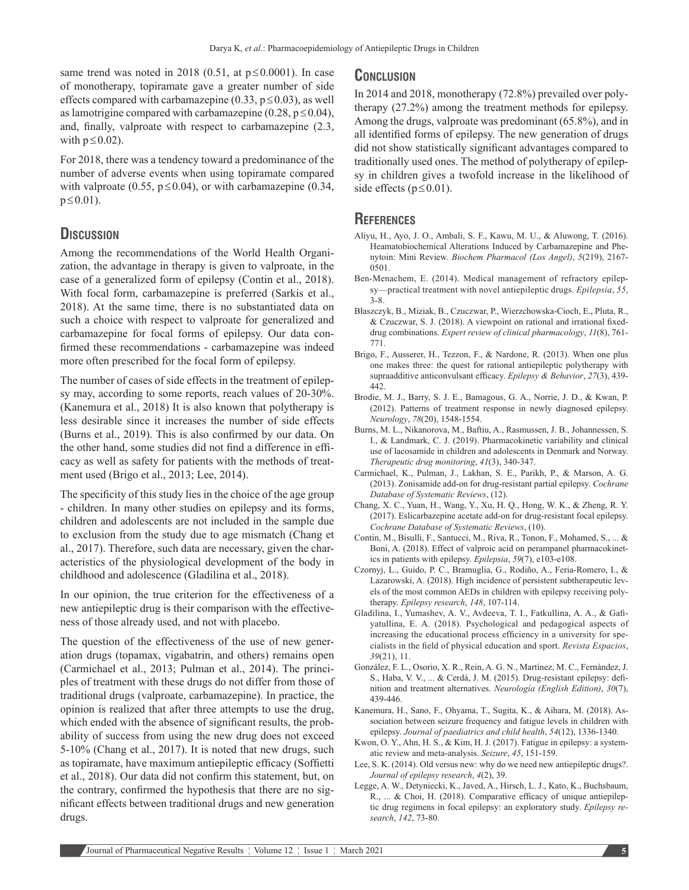same trend was noted in 2018 (0.51, at  $p \le 0.0001$ ). In case of monotherapy, topiramate gave a greater number of side effects compared with carbamazepine  $(0.33, p \le 0.03)$ , as well as lamotrigine compared with carbamazepine (0.28,  $p \le 0.04$ ), and, finally, valproate with respect to carbamazepine (2.3, with  $p \leq 0.02$ ).

For 2018, there was a tendency toward a predominance of the number of adverse events when using topiramate compared with valproate (0.55,  $p \le 0.04$ ), or with carbamazepine (0.34,  $p \le 0.01$ ).

# **Discussion**

Among the recommendations of the World Health Organization, the advantage in therapy is given to valproate, in the case of a generalized form of epilepsy (Contin et al., 2018). With focal form, carbamazepine is preferred (Sarkis et al., 2018). At the same time, there is no substantiated data on such a choice with respect to valproate for generalized and carbamazepine for focal forms of epilepsy. Our data confirmed these recommendations - carbamazepine was indeed more often prescribed for the focal form of epilepsy.

The number of cases of side effects in the treatment of epilepsy may, according to some reports, reach values of 20-30%. (Kanemura et al., 2018) It is also known that polytherapy is less desirable since it increases the number of side effects (Burns et al., 2019). This is also confirmed by our data. On the other hand, some studies did not find a difference in efficacy as well as safety for patients with the methods of treatment used (Brigo et al., 2013; Lee, 2014).

The specificity of this study lies in the choice of the age group - children. In many other studies on epilepsy and its forms, children and adolescents are not included in the sample due to exclusion from the study due to age mismatch (Chang et al., 2017). Therefore, such data are necessary, given the characteristics of the physiological development of the body in childhood and adolescence (Gladilina et al., 2018).

In our opinion, the true criterion for the effectiveness of a new antiepileptic drug is their comparison with the effectiveness of those already used, and not with placebo.

The question of the effectiveness of the use of new generation drugs (topamax, vigabatrin, and others) remains open (Carmichael et al., 2013; Pulman et al., 2014). The principles of treatment with these drugs do not differ from those of traditional drugs (valproate, carbamazepine). In practice, the opinion is realized that after three attempts to use the drug, which ended with the absence of significant results, the probability of success from using the new drug does not exceed 5-10% (Chang et al., 2017). It is noted that new drugs, such as topiramate, have maximum antiepileptic efficacy (Soffietti et al., 2018). Our data did not confirm this statement, but, on the contrary, confirmed the hypothesis that there are no significant effects between traditional drugs and new generation drugs.

### **Conclusion**

In 2014 and 2018, monotherapy (72.8%) prevailed over polytherapy (27.2%) among the treatment methods for epilepsy. Among the drugs, valproate was predominant (65.8%), and in all identified forms of epilepsy. The new generation of drugs did not show statistically significant advantages compared to traditionally used ones. The method of polytherapy of epilepsy in children gives a twofold increase in the likelihood of side effects ( $p \le 0.01$ ).

# **References**

- Aliyu, H., Ayo, J. O., Ambali, S. F., Kawu, M. U., & Aluwong, T. (2016). Heamatobiochemical Alterations Induced by Carbamazepine and Phenytoin: Mini Review. *Biochem Pharmacol (Los Angel)*, *5*(219), 2167- 0501.
- Ben-Menachem, E. (2014). Medical management of refractory epilepsy—practical treatment with novel antiepileptic drugs. *Epilepsia*, *55*, 3-8.
- Błaszczyk, B., Miziak, B., Czuczwar, P., Wierzchowska-Cioch, E., Pluta, R., & Czuczwar, S. J. (2018). A viewpoint on rational and irrational fixeddrug combinations. *Expert review of clinical pharmacology*, *11*(8), 761- 771.
- Brigo, F., Ausserer, H., Tezzon, F., & Nardone, R. (2013). When one plus one makes three: the quest for rational antiepileptic polytherapy with supraadditive anticonvulsant efficacy. *Epilepsy & Behavior*, *27*(3), 439- 442.
- Brodie, M. J., Barry, S. J. E., Bamagous, G. A., Norrie, J. D., & Kwan, P. (2012). Patterns of treatment response in newly diagnosed epilepsy. *Neurology*, *78*(20), 1548-1554.
- Burns, M. L., Nikanorova, M., Baftiu, A., Rasmussen, J. B., Johannessen, S. I., & Landmark, C. J. (2019). Pharmacokinetic variability and clinical use of lacosamide in children and adolescents in Denmark and Norway. *Therapeutic drug monitoring*, *41*(3), 340-347.
- Carmichael, K., Pulman, J., Lakhan, S. E., Parikh, P., & Marson, A. G. (2013). Zonisamide add-on for drug-resistant partial epilepsy. *Cochrane Database of Systematic Reviews*, (12).
- Chang, X. C., Yuan, H., Wang, Y., Xu, H. Q., Hong, W. K., & Zheng, R. Y. (2017). Eslicarbazepine acetate add-on for drug-resistant focal epilepsy. *Cochrane Database of Systematic Reviews*, (10).
- Contin, M., Bisulli, F., Santucci, M., Riva, R., Tonon, F., Mohamed, S., ... & Boni, A. (2018). Effect of valproic acid on perampanel pharmacokinetics in patients with epilepsy. *Epilepsia*, *59*(7), e103-e108.
- Czornyj, L., Guido, P. C., Bramuglia, G., Rodiño, A., Feria-Romero, I., & Lazarowski, A. (2018). High incidence of persistent subtherapeutic levels of the most common AEDs in children with epilepsy receiving polytherapy. *Epilepsy research*, *148*, 107-114.
- Gladilina, I., Yumashev, A. V., Avdeeva, T. I., Fatkullina, A. A., & Gafiyatullina, E. A. (2018). Psychological and pedagogical aspects of increasing the educational process efficiency in a university for specialists in the field of physical education and sport. *Revista Espacios*, *39*(21), 11.
- González, F. L., Osorio, X. R., Rein, A. G. N., Martínez, M. C., Fernández, J. S., Haba, V. V., ... & Cerdá, J. M. (2015). Drug-resistant epilepsy: definition and treatment alternatives. *Neurología (English Edition)*, *30*(7), 439-446.
- Kanemura, H., Sano, F., Ohyama, T., Sugita, K., & Aihara, M. (2018). Association between seizure frequency and fatigue levels in children with epilepsy. *Journal of paediatrics and child health*, *54*(12), 1336-1340.
- Kwon, O. Y., Ahn, H. S., & Kim, H. J. (2017). Fatigue in epilepsy: a systematic review and meta-analysis. *Seizure*, *45*, 151-159.
- Lee, S. K. (2014). Old versus new: why do we need new antiepileptic drugs?. *Journal of epilepsy research*, *4*(2), 39.
- Legge, A. W., Detyniecki, K., Javed, A., Hirsch, L. J., Kato, K., Buchsbaum, R., ... & Choi, H. (2018). Comparative efficacy of unique antiepileptic drug regimens in focal epilepsy: an exploratory study. *Epilepsy research*, *142*, 73-80.